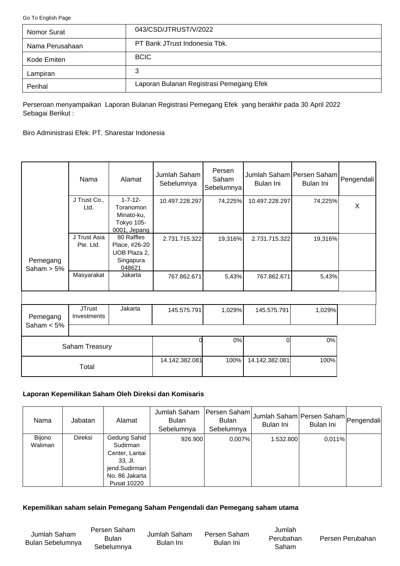<span id="page-0-0"></span>[Go To English Page](#page-2-0)

| Nomor Surat     | 043/CSD/JTRUST/V/2022                    |
|-----------------|------------------------------------------|
| Nama Perusahaan | PT Bank JTrust Indonesia Tbk.            |
| Kode Emiten     | <b>BCIC</b>                              |
| Lampiran        | 3                                        |
| Perihal         | Laporan Bulanan Registrasi Pemegang Efek |

Perseroan menyampaikan Laporan Bulanan Registrasi Pemegang Efek yang berakhir pada 30 April 2022 Sebagai Berikut :

Biro Administrasi Efek: PT. Sharestar Indonesia

|                           | Nama                         | Alamat                                                                  | Jumlah Saham<br>Sebelumnya | Persen<br>Saham<br>Sebelumnya | Bulan Ini      | Jumlah Saham Persen Saham<br>Bulan Ini | Pengendali |
|---------------------------|------------------------------|-------------------------------------------------------------------------|----------------------------|-------------------------------|----------------|----------------------------------------|------------|
|                           | J Trust Co.,<br>Ltd.         | $1 - 7 - 12 -$<br>Toranomon<br>Minato-ku,<br>Tokyo 105-<br>0001, Jepang | 10.497.228.297             | 74,225%                       | 10.497.228.297 | 74,225%                                | X          |
| Pemegang<br>Saham $> 5\%$ | J Trust Asia<br>Pte. Ltd.    | 80 Raffles<br>Place, #26-20<br>UOB Plaza 2,<br>Singapura<br>048621      | 2.731.715.322              | 19,316%                       | 2.731.715.322  | 19,316%                                |            |
|                           | Masyarakat                   | Jakarta                                                                 | 767.862.671                | 5,43%                         | 767.862.671    | 5,43%                                  |            |
|                           |                              |                                                                         |                            |                               |                |                                        |            |
| Pemegang                  | <b>JTrust</b><br>Investments | Jakarta                                                                 | 145.575.791                | 1,029%                        | 145.575.791    | 1,029%                                 |            |
| Saham $< 5\%$             |                              |                                                                         |                            |                               |                |                                        |            |
|                           | Saham Treasury               |                                                                         |                            | 0%                            | <sub>0</sub>   | 0%                                     |            |
|                           |                              |                                                                         | 14.142.382.081             | 100%                          | 14.142.382.081 | 100%                                   |            |

# **Laporan Kepemilikan Saham Oleh Direksi dan Komisaris**

Total

| Nama                     | Jabatan | Alamat                                                                                                         | Jumlah Saham<br><b>Bulan</b><br>Sebelumnya | Persen Saham<br><b>Bulan</b><br>Sebelumnya | Jumlah Saham Persen Saham Pengendali<br>Bulan Ini | Bulan Ini |  |
|--------------------------|---------|----------------------------------------------------------------------------------------------------------------|--------------------------------------------|--------------------------------------------|---------------------------------------------------|-----------|--|
| <b>Bijono</b><br>Waliman | Direksi | Gedung Sahid<br>Sudirman<br>Center, Lantai<br>33, Jl.<br>jend.Sudirman<br>No. 86 Jakarta<br><b>Pusat 10220</b> | 926.900                                    | 0.007%                                     | 1.532.800                                         | 0.011%    |  |

#### **Kepemilikan saham selain Pemegang Saham Pengendali dan Pemegang saham utama**

Jumlah Saham Bulan Sebelumnya Persen Saham Bulan Sebelumnya

Jumlah Saham Bulan Ini

Persen Saham Bulan Ini

Jumlah Perubahan Saham

Persen Perubahan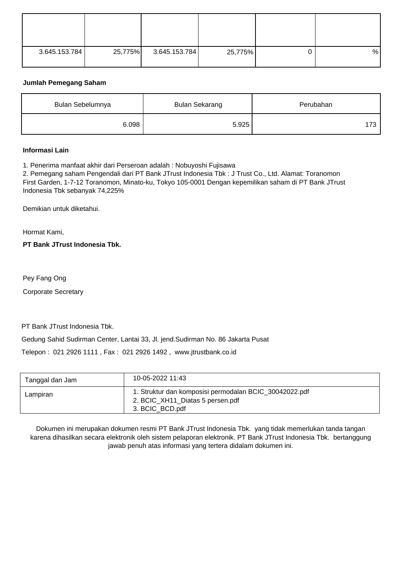| 3.645.153.784 | 25,775% | 3.645.153.784 | 25,775% | % |
|---------------|---------|---------------|---------|---|

# **Jumlah Pemegang Saham**

| Bulan Sebelumnya | <b>Bulan Sekarang</b> | Perubahan |
|------------------|-----------------------|-----------|
| 6.098            | 5.925                 | 173       |

#### **Informasi Lain**

1. Penerima manfaat akhir dari Perseroan adalah : Nobuyoshi Fujisawa

2. Pemegang saham Pengendali dari PT Bank JTrust Indonesia Tbk : J Trust Co., Ltd. Alamat: Toranomon First Garden, 1-7-12 Toranomon, Minato-ku, Tokyo 105-0001 Dengan kepemilikan saham di PT Bank JTrust Indonesia Tbk sebanyak 74,225%

Demikian untuk diketahui.

Hormat Kami,

**PT Bank JTrust Indonesia Tbk.**

Pey Fang Ong

Corporate Secretary

PT Bank JTrust Indonesia Tbk.

Gedung Sahid Sudirman Center, Lantai 33, Jl. jend.Sudirman No. 86 Jakarta Pusat

Telepon : 021 2926 1111 , Fax : 021 2926 1492 , www.jtrustbank.co.id

| Tanggal dan Jam | 10-05-2022 11:43                                                                                              |
|-----------------|---------------------------------------------------------------------------------------------------------------|
| Lampiran        | 1. Struktur dan komposisi permodalan BCIC 30042022.pdf<br>2. BCIC_XH11_Diatas 5 persen.pdf<br>3. BCIC BCD.pdf |

Dokumen ini merupakan dokumen resmi PT Bank JTrust Indonesia Tbk. yang tidak memerlukan tanda tangan karena dihasilkan secara elektronik oleh sistem pelaporan elektronik. PT Bank JTrust Indonesia Tbk. bertanggung jawab penuh atas informasi yang tertera didalam dokumen ini.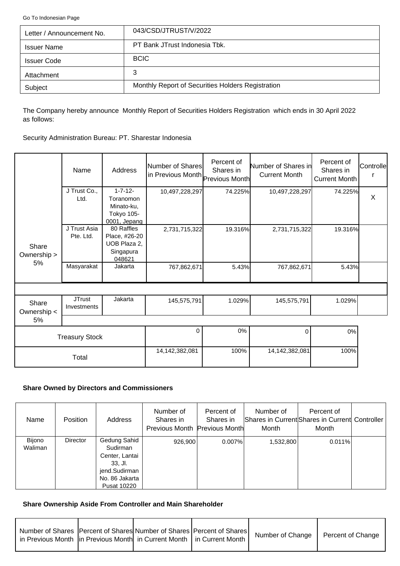<span id="page-2-0"></span>[Go To Indonesian Page](#page-0-0)

| Letter / Announcement No. | 043/CSD/JTRUST/V/2022                             |
|---------------------------|---------------------------------------------------|
| <b>Issuer Name</b>        | PT Bank JTrust Indonesia Tbk.                     |
| <b>Issuer Code</b>        | <b>BCIC</b>                                       |
| Attachment                | 3                                                 |
| Subject                   | Monthly Report of Securities Holders Registration |

The Company hereby announce Monthly Report of Securities Holders Registration which ends in 30 April 2022 as follows:

Security Administration Bureau: PT. Sharestar Indonesia

|                      | Name                         | Address                                                                 | Number of Shares<br>in Previous Month Previous Month | Percent of<br>Shares in | Number of Shares in<br><b>Current Month</b> | Percent of<br>Shares in<br><b>Current Month</b> | Controlle |
|----------------------|------------------------------|-------------------------------------------------------------------------|------------------------------------------------------|-------------------------|---------------------------------------------|-------------------------------------------------|-----------|
|                      | J Trust Co.,<br>Ltd.         | $1 - 7 - 12 -$<br>Toranomon<br>Minato-ku,<br>Tokyo 105-<br>0001, Jepang | 10,497,228,297                                       | 74.225%                 | 10,497,228,297                              | 74.225%                                         | X         |
| Share<br>Ownership > | J Trust Asia<br>Pte. Ltd.    | 80 Raffles<br>Place, #26-20<br>UOB Plaza 2.<br>Singapura<br>048621      | 2,731,715,322                                        | 19.316%                 | 2,731,715,322                               | 19.316%                                         |           |
| 5%                   | Masyarakat                   | Jakarta                                                                 | 767,862,671                                          | 5.43%                   | 767,862,671                                 | 5.43%                                           |           |
|                      |                              |                                                                         |                                                      |                         |                                             |                                                 |           |
| Share<br>Ownership < | <b>JTrust</b><br>Investments | Jakarta                                                                 | 145,575,791                                          | 1.029%                  | 145,575,791                                 | 1.029%                                          |           |
| 5%                   |                              |                                                                         |                                                      |                         |                                             |                                                 |           |
|                      | <b>Treasury Stock</b>        |                                                                         | $\Omega$                                             | 0%                      | 0                                           | 0%                                              |           |
|                      | Total                        |                                                                         | 14,142,382,081                                       | 100%                    | 14,142,382,081                              | 100%                                            |           |

### **Share Owned by Directors and Commissioners**

| Name              | <b>Position</b> | Address                                                                                                          | Number of<br>Shares in<br>Previous Month Previous Month | Percent of<br>Shares in | Number of<br>Month | Percent of<br>Shares in Current Shares in Current Controller<br>Month |  |
|-------------------|-----------------|------------------------------------------------------------------------------------------------------------------|---------------------------------------------------------|-------------------------|--------------------|-----------------------------------------------------------------------|--|
| Bijono<br>Waliman | <b>Director</b> | Gedung Sahid<br>Sudirman<br>Center, Lantai<br>$33.$ Jl.<br>jend.Sudirman<br>No. 86 Jakarta<br><b>Pusat 10220</b> | 926,900                                                 | 0.007%                  | 1,532,800          | 0.011%                                                                |  |

# **Share Ownership Aside From Controller and Main Shareholder**

| Number of Shares   Percent of Shares  Number of Shares   Percent of Shares  <br>in Previous Month  in Previous Month  in Current Month   in Current Month |  | Number of Change | Percent of Change |
|-----------------------------------------------------------------------------------------------------------------------------------------------------------|--|------------------|-------------------|
|                                                                                                                                                           |  |                  |                   |